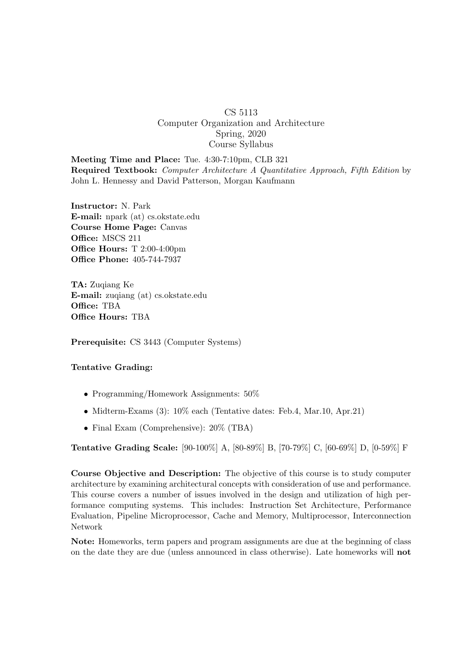## CS 5113 Computer Organization and Architecture Spring, 2020 Course Syllabus

Meeting Time and Place: Tue. 4:30-7:10pm, CLB 321 Required Textbook: Computer Architecture A Quantitative Approach, Fifth Edition by John L. Hennessy and David Patterson, Morgan Kaufmann

Instructor: N. Park E-mail: npark (at) cs.okstate.edu Course Home Page: Canvas Office: MSCS 211 Office Hours: T 2:00-4:00pm Office Phone: 405-744-7937

TA: Zuqiang Ke E-mail: zuqiang (at) cs.okstate.edu Office: TBA Office Hours: TBA

Prerequisite: CS 3443 (Computer Systems)

## Tentative Grading:

- Programming/Homework Assignments: 50%
- Midterm-Exams (3): 10% each (Tentative dates: Feb.4, Mar.10, Apr.21)
- Final Exam (Comprehensive):  $20\%$  (TBA)

Tentative Grading Scale: [90-100%] A, [80-89%] B, [70-79%] C, [60-69%] D, [0-59%] F

Course Objective and Description: The objective of this course is to study computer architecture by examining architectural concepts with consideration of use and performance. This course covers a number of issues involved in the design and utilization of high performance computing systems. This includes: Instruction Set Architecture, Performance Evaluation, Pipeline Microprocessor, Cache and Memory, Multiprocessor, Interconnection Network

Note: Homeworks, term papers and program assignments are due at the beginning of class on the date they are due (unless announced in class otherwise). Late homeworks will not